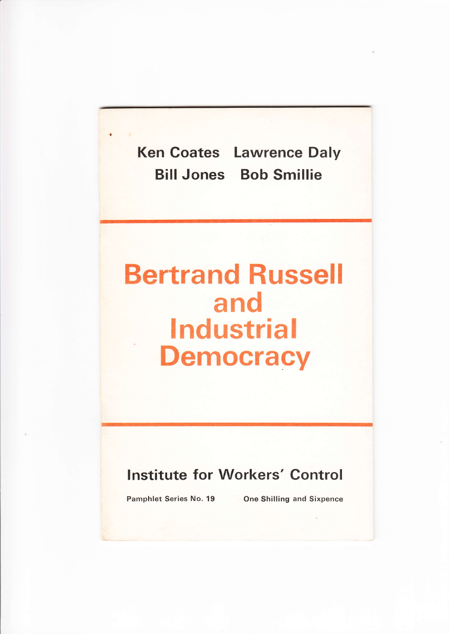Ken Coates Lawrence Daly Bill Jones Bob Smillie

# Bertrand Russell and lndustrial **Democracy**

## Institute for Workers' Control

Pamphlet Series No. 19 One Shilling and Sixpence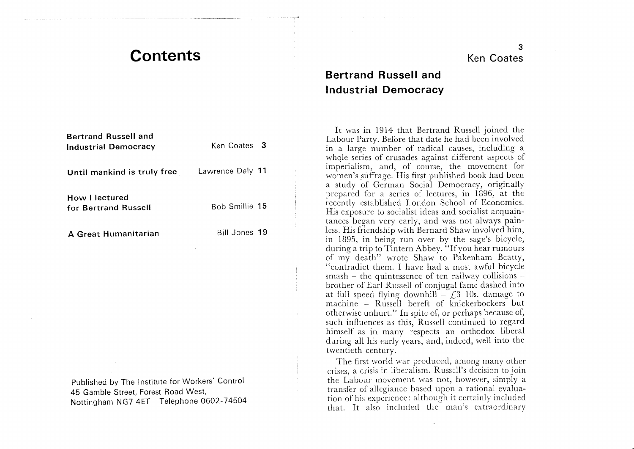## Contents

| <b>Bertrand Russell and</b><br>Industrial Democracy | Ken Coates 3     |
|-----------------------------------------------------|------------------|
| Until mankind is truly free                         | Lawrence Daly 11 |
| How Hectured<br>for Bertrand Russell                | Bob Smillie 15   |
| A Great Humanitarian                                | Bill Jones 19    |

Published by The Institute for Workers' Control 45 Gamble Street, Forest Road West, Nottingham NG7 4ET Telephone 0602-74504

## **Bertrand Russell and Industrial Democracy**

It was in 1914 that Bertrand Russell joined the Labour Party. Before that date he had been involved in a large number of radical causes, including a whole series of crusades against different aspects of imperialism, and, of course, the movement for women's suffrage. His first published book had been a study of German Social Democracy, originally prepared for a series of lectures, in 1896, at the recently established London School of Economics. His exposure to socialist ideas and socialist acquaintances began very early, and was not always painless. His friendship with Bernard Shaw involved him, in 1895, in being run over by the sage's bicycle, during a trip to Tintern Abbey. "If you hear rumours of my death" wrote Shaw to Pakenham Beatty, "contradict them. I have had a most awful bicycle  $smash - the quintessence of ten railway collisions$ brother of Earl Russell of conjugal fame dashed into at full speed flying downhill –  $\zeta_3$  10s. damage to machine - Russell bereft of knickerbockers but otherwise unhurt." In spite of, or perhaps because of, such influences as this, Russell continued to regard himself as in many respects an orthodox liberal during all his early years, and, indeed, well into the twentieth century.

The first world war produced, among many other crises, a crisis in liberalism. Russell's decision to join the Labour movement was not, however, simply a transfer of allegiance based upon a rational evaluation of his experience: although it certainly included that. It also included the man's extraordinary

3 **Ken Coates**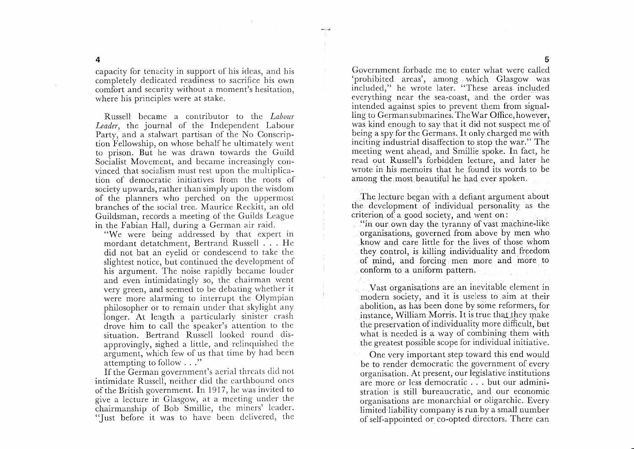capacity for tenacity in support of his ideas, and his completely dedicated readiness to sacrifice his own comfort and security without a moment's hesitation. where his principles were at stake.

Russell became a contributor to the *Labour* Leader, the journal of the Independent Labour Party, and a stalwart partisan of the No Conscription Fellowship, on whose behalf he ultimately went to prison. But he was drawn towards the Guild Socialist Movement, and became increasingly convinced that socialism must rest upon the multiplication of democratic initiatives from the roots of society upwards, rather than simply upon the wisdom of the planners who perched on the uppermost branches of the social tree. Maurice Reckitt, an old Guildsman, records a meeting of the Guilds League in the Fabian Hall, during a German air raid.

"We were being addressed by that expert in mordant detatchment, Bertrand Russell . . . He did not bat an eyelid or condescend to take the slightest notice, but continued the development of his argument. The noise rapidly became louder and even intimidatingly so, the chairman went very green, and seemed to be debating whether it were more alarming to interrupt the Olympian philosopher or to remain under that skylight any longer. At length a particularly sinister crash drove him to call the speaker's attention to the situation. Bertrand Russell looked round disapprovingly, sighed a little, and relinquished the argument, which few of us that time by had been attempting to follow  $\ldots$ "

If the German government's aerial threats did not intimidate Russell, neither did the earthbound ones of the British government. In 1917, he was invited to give a lecture in Glasgow, at a meeting under the chairmanship of Bob Smillie, the miners' leader. "Just before it was to have been delivered, the Government forbade me to enter what were called 'prohibited areas', among which Glasgow was included," he wrote later. "These areas included everything near the sea-coast, and the order was intended against spies to prevent them from signalling to German submarines. The War Office, however, was kind enough to say that it did not suspect me of being a spy for the Germans. It only charged me with inciting industrial disaffection to stop the war." The meeting went ahead, and Smillie spoke. In fact, he read out Russell's forbidden lecture, and later he wrote in his memoirs that he found its words to be among the most beautiful he had ever spoken.

The lecture began with a defiant argument about the development of individual personality as the criterion of a good society, and went on:

"in our own day the tyranny of vast machine-like" organisations, governed from above by men who know and care little for the lives of those whom they control, is killing individuality and freedom of mind, and forcing men more and more to conform to a uniform pattern.

Vast organisations are an inevitable element in modern society, and it is useless to aim at their abolition, as has been done by some reformers, for instance. William Morris. It is true that they make the preservation of individuality more difficult, but what is needed is a way of combining them with the greatest possible scope for individual initiative.

One very important step toward this end would be to render democratic the government of every organisation. At present, our legislative institutions are more or less democratic ... but our administration is still bureaucratic, and our economic organisations are monarchial or oligarchic. Every limited liability company is run by a small number of self-appointed or co-opted directors. There can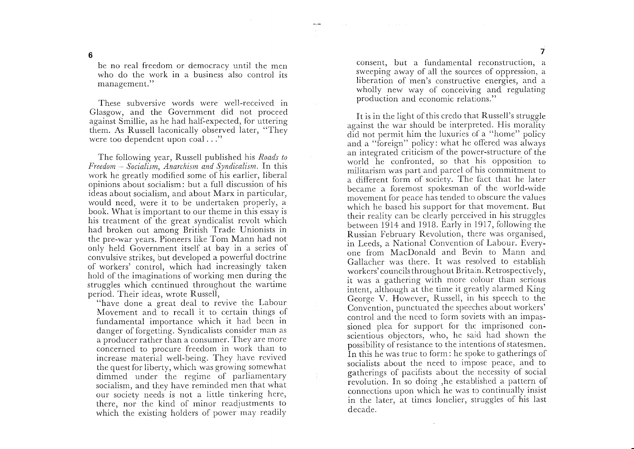be no real freedom or democracy until the men who do the work in a business also control its management."

and dai

These subversive words were well-received in Glasgow, and the Government did not proceed against Smillie, as he had half-expected, for uttering them. As Russell laconically observed later, "They were too dependent upon coal..."

The following year, Russell published his Roads to Freedom – Socialism, Anarchism and Syndicalism. In this work he greatly modified some of his earlier, liberal opinions about socialism: but a full discussion of his ideas about socialism, and about Marx in particular, would need, were it to be undertaken properly, a book. What is important to our theme in this essay is his treatment of the great syndicalist revolt which had broken out among British Trade Unionists in the pre-war years. Pioneers like Tom Mann had not only held Government itself at bay in a series of convulsive strikes, but developed a powerful doctrine of workers' control, which had increasingly taken hold of the imaginations of working men during the struggles which continued throughout the wartime period. Their ideas, wrote Russell,

"have done a great deal to revive the Labour Movement and to recall it to certain things of fundamental importance which it had been in danger of forgetting. Syndicalists consider man as a producer rather than a consumer. They are more concerned to procure freedom in work than to increase material well-being. They have revived the quest for liberty, which was growing somewhat dimmed under the regime of parliamentary socialism, and they have reminded men that what our society needs is not a little tinkering here, there, nor the kind of minor readjustments to which the existing holders of power may readily

consent, but a fundamental reconstruction, a sweeping away of all the sources of oppression, a liberation of men's constructive energies, and a wholly new way of conceiving and regulating production and economic relations."

It is in the light of this credo that Russell's struggle against the war should be interpreted. His morality did not permit him the luxuries of a "home" policy and a "foreign" policy: what he offered was always an integrated criticism of the power-structure of the world he confronted, so that his opposition to militarism was part and parcel of his commitment to a different form of society. The fact that he later became a foremost spokesman of the world-wide movement for peace has tended to obscure the values which he based his support for that movement. But their reality can be clearly perceived in his struggles between 1914 and 1918. Early in 1917, following the Russian February Revolution, there was organised, in Leeds, a National Convention of Labour. Everyone from MacDonald and Bevin to Mann and Gallacher was there. It was resolved to establish workers' councils throughout Britain. Retrospectively, it was a gathering with more colour than serious intent, although at the time it greatly alarmed King George V. However, Russell, in his speech to the Convention, punctuated the speeches about workers' control and the need to form soviets with an impassioned plea for support for the imprisoned conscientious objectors, who, he said had shown the possibility of resistance to the intentions of statesmen. In this he was true to form: he spoke to gatherings of socialists about the need to impose peace, and to gatherings of pacifists about the necessity of social revolution. In so doing, he established a pattern of connections upon which he was to continually insist in the later, at times lonelier, struggles of his last decade.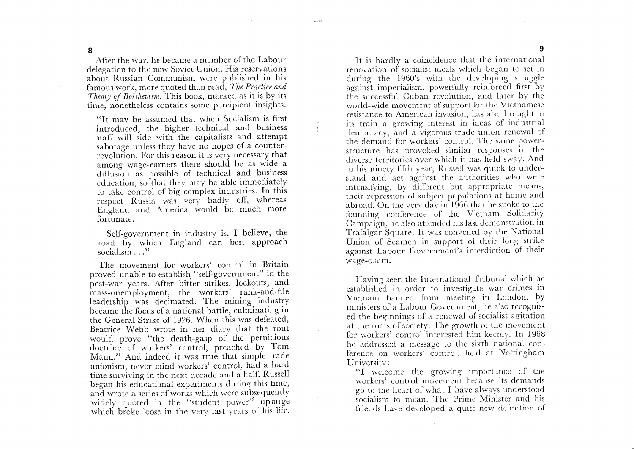8

After the war, he became a member of the Labour delegation to the new Soviet Union. His reservations about Russian Communism were published in his famous work, more quoted than read, The Practice and Theory of Bolshevism. This book, marked as it is by its time, nonetheless contains some percipient insights.  $22.2$ 

 $\frac{1}{\epsilon}$ 

"It may be assumed that when Socialism is first introduced, the higher technical and business staff will side with the capitalists and attempt sabotage unless they have no hopes of a counterrevolution. For this reason it is very necessary that among wage-earners there should be as wide a diffusion as possible of technical and business education, so that they may be able immediately to take control of big complex industries. In this respect Russia was very badly off, whereas England and America would be much more fortunate.

Self-government in industry is, I believe, the road by which England can best approach socialism . . ."

The movement for workers' control in Britain proved unable to establish "self-government" in the post-war years. After bitter strikes, lockouts, and mass-unemployment, the workers' rank-and-file leadership was decimated. The mining industry became the focus of a national battle, culminating in the General Strike of 1926. When this was defeated, Beatrice Webb wrote in her diary that the rout would prove "the death-gasp of the pernicious doctrine of workers' control, preached by Tom Mann." And indeed it was true that simple trade unionism, never mind workers' control, had a hard time surviving in the next decade and a half. Russell began his educational experiments during this time, and wrote a series of works which were subsequently widely quoted in the "student power" upsurge which broke loose in the very last years of his life.

It is hardly a coincidence that the international renovation of socialist ideals which began to set in during the 1960's with the developing struggle against imperialism, powerfully reinforced first by the successful Cuban revolution, and later by the world-wide movement of support for the Vietnamese resistance to American invasion, has also brought in its train a growing interest in ideas of industrial democracy, and a vigorous trade union renewal of the demand for workers' control. The same powerstructure has provoked similar responses in the diverse territories over which it has held sway. And in his ninety fifth year, Russell was quick to understand and act against the authorities who were intensifying, by different but appropriate means, their repression of subject populations at home and abroad. On the very day in 1966 that he spoke to the founding conference of the Vietnam Solidarity Campaign, he also attended his last demonstration in Trafalgar Square. It was convened by the National Union of Seamen in support of their long strike against Labour Government's interdiction of their wage-claim.

Having seen the International Tribunal which he established in order to investigate war crimes in Vietnam banned from meeting in London, by ministers of a Labour Government, he also recognised the beginnings of a renewal of socialist agitation at the roots of society. The growth of the movement for workers' control interested him keenly. In 1968 he addressed a message to the sixth national conference on workers' control, held at Nottingham University:

"I welcome the growing importance of the workers' control movement because its demands go to the heart of what I have always understood socialism to mean. The Prime Minister and his friends have developed a quite new definition of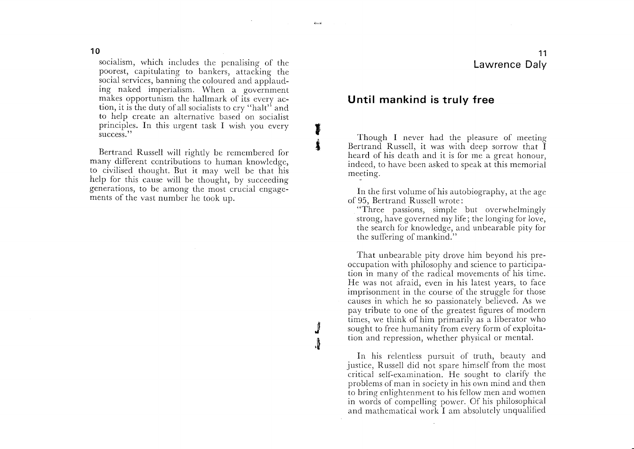socialism, which includes the penalising of the poorest, capitulating to bankers, attacking the social services, banning the coloured and applauding naked imperialism. When a government makes opportunism the hallmark of its every action, it is the duty of all socialists to cry "halt" and to help create an alternative based on socialist principles. In this urgent task I wish you every success."

Bertrand Russell will rightly be remembered for many different contributions to human knowledge, to civilised thought. But it may well be that his help for this cause will be thought, by succeeding generations, to be among the most crucial engagements of the vast number he took up.

#### Until mankind is truly free

Though I never had the pleasure of meeting Bertrand Russell, it was with deep sorrow that I heard of his death and it is for me a great honour, indeed, to have been asked to speak at this memorial meeting.

In the first volume of his autobiography, at the age of 95, Bertrand Russell wrote:

"Three passions, simple but overwhelmingly strong, have governed my life; the longing for love, the search for knowledge, and unbearable pity for the suffering of mankind."

That unbearable pity drove him beyond his preoccupation with philosophy and science to participation in many of the radical movements of his time. He was not afraid, even in his latest years, to face imprisonment in the course of the struggle for those causes in which he so passionately believed. As we pay tribute to one of the greatest figures of modern times, we think of him primarily as a liberator who sought to free humanity from every form of exploitation and repression, whether physical or mental.

In his relentless pursuit of truth, beauty and justice, Russell did not spare himself from the most critical self-examination. He sought to clarify the problems of man in society in his own mind and then to bring enlightenment to his fellow men and women in words of compelling power. Of his philosophical and mathematical work I am absolutely unqualified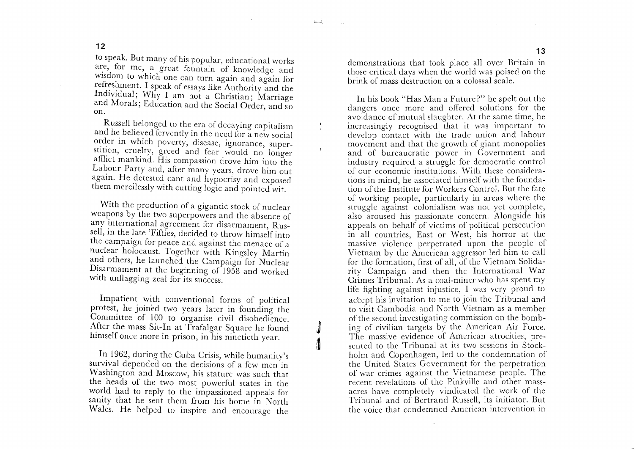to speak. But many of his popular, educational works are, for me, a great fountain of knowledge and wisdom to which one can turn again and again for refreshment. I speak of essays like Authority and the Individual; Why I am not a Christian; Marriage and Morals; Education and the Social Order, and so on.

أسمعة

J

4

Russell belonged to the era of decaying capitalism and he believed fervently in the need for a new social order in which poverty, disease, ignorance, superstition, cruelty, greed and fear would no longer afflict mankind. His compassion drove him into the Labour Party and, after many years, drove him out again. He detested cant and hypocrisy and exposed them mercilessly with cutting logic and pointed wit.

With the production of a gigantic stock of nuclear weapons by the two superpowers and the absence of any international agreement for disarmament, Russell, in the late 'Fifties, decided to throw himself into the campaign for peace and against the menace of a nuclear holocaust. Together with Kingsley Martin and others, he launched the Campaign for Nuclear Disarmament at the beginning of 1958 and worked with unflagging zeal for its success.

Impatient with conventional forms of political protest, he joined two years later in founding the Committee of 100 to organise civil disobedience. After the mass Sit-In at Trafalgar Square he found himself once more in prison, in his ninetieth year.

In 1962, during the Cuba Crisis, while humanity's survival depended on the decisions of a few men in Washington and Moscow, his stature was such that the heads of the two most powerful states in the world had to reply to the impassioned appeals for sanity that he sent them from his home in North Wales. He helped to inspire and encourage the

demonstrations that took place all over Britain in those critical days when the world was poised on the brink of mass destruction on a colossal scale.

In his book "Has Man a Future?" he spelt out the dangers once more and offered solutions for the avoidance of mutual slaughter. At the same time, he increasingly recognised that it was important to develop contact with the trade union and labour movement and that the growth of giant monopolies and of bureaucratic power in Government and industry required a struggle for democratic control of our economic institutions. With these considerations in mind, he associated himself with the foundation of the Institute for Workers Control. But the fate of working people, particularly in areas where the struggle against colonialism was not yet complete, also aroused his passionate concern. Alongside his appeals on behalf of victims of political persecution in all countries, East or West, his horror at the massive violence perpetrated upon the people of Vietnam by the American aggressor led him to call for the formation, first of all, of the Vietnam Solidarity Campaign and then the International War Crimes Tribunal. As a coal-miner who has spent my life fighting against injustice, I was very proud to accept his invitation to me to join the Tribunal and to visit Cambodia and North Vietnam as a member of the second investigating commission on the bombing of civilian targets by the American Air Force. The massive evidence of American atrocities, presented to the Tribunal at its two sessions in Stockholm and Copenhagen, led to the condemnation of the United States Government for the perpetration of war crimes against the Vietnamese people. The recent revelations of the Pinkville and other massacres have completely vindicated the work of the Tribunal and of Bertrand Russell, its initiator. But the voice that condemned American intervention in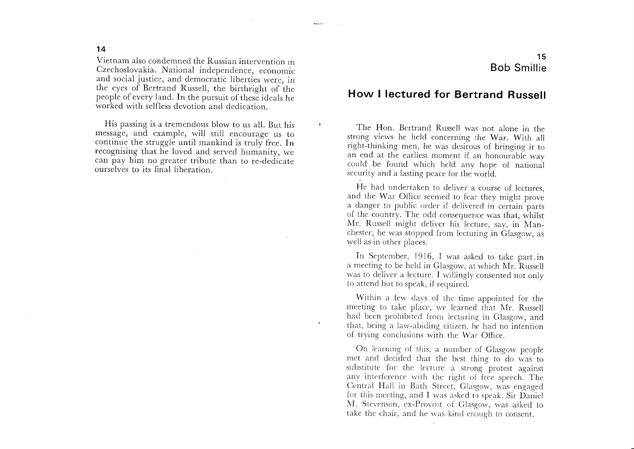Vietnam also condemned the Russian intervention in Czechoslovakia. National independence, economic and social justice, and democratic liberties were, in the eyes of Bertrand Russell, the birthright of the people of every land. In the pursuit of these ideals he worked with selfless devotion and dedication.

His passing is a tremendous blow to us all. But his message, and example, will still encourage us to continue the struggle until mankind is truly free. In recognising that he loved and served humanity, we can pay him no greater tribute than to re-dedicate ourselves to its final liberation.

 $\,$   $\,$ 

#### $15$ **Bob Smillie**

### How I lectured for Bertrand Russell

The Hon. Bertrand Russell was not alone in the strong views he held concerning the War. With all right-thinking men, he was desirous of bringing it to an end at the earliest moment if an honourable way could be found which held any hope of national security and a lasting peace for the world.

He had undertaken to deliver a course of lectures, and the War Office seemed to fear they might prove a danger to public order if delivered in certain parts of the country. The odd consequence was that, whilst Mr. Russell might deliver his lecture, say, in Manchester, he was stopped from lecturing in Glasgow, as well as in other places.

In September, 1916, I was asked to take part in a meeting to be held in Glasgow, at which Mr. Russell was to deliver a lecture. I willingly consented not only to attend but to speak, if required.

Within a few days of the time appointed for the meeting to take place, we learned that Mr. Russell had been prohibited from lecturing in Glasgow, and that, being a law-abiding citizen, he had no intention of trying conclusions with the War Office.

On learning of this, a number of Glasgow people met and decided that the best thing to do was to substitute for the lecture a strong protest against any interference with the right of free speech. The Central Hall in Bath Street, Glasgow, was engaged for this meeting, and I was asked to speak. Sir Daniel M. Stevenson, ex-Provost of Glasgow, was asked to take the chair, and he was kind enough to consent.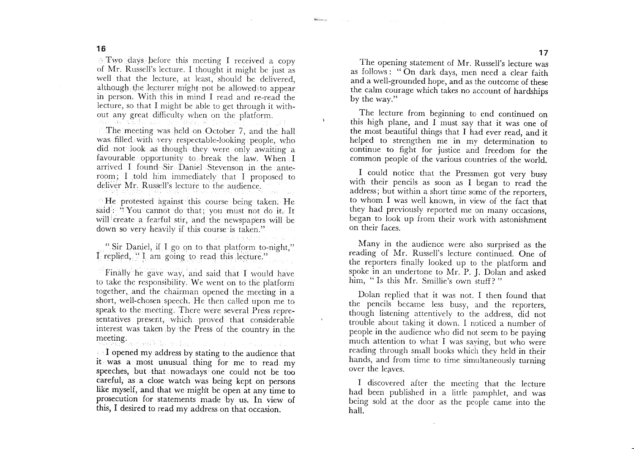A Two days before this meeting I received a copy of Mr. Russell's lecture. I thought it might be just as well that the lecture, at least, should be delivered, although the lecturer might not be allowed to appear in person. With this in mind I read and re-read the lecture, so that I might be able to get through it without any great difficulty when on the platform. mar an wikila and skry filery. We head a

The meeting was held on October 7, and the hall was filled with very respectable-looking people, who did not look as though they were only awaiting a favourable opportunity to break the law. When I arrived I found Sir Daniel Stevenson in the anteroom; I told him immediately that I proposed to deliver Mr. Russell's lecture to the audience.

He protested against this course being taken. He said: "You cannot do that, you must not do it. It will create a fearful stir, and the newspapers will be down so very heavily if this course is taken."

"Sir Daniel, if I go on to that platform to-night." I replied, "I am going to read this lecture."

Finally he gave way, and said that I would have to take the responsibility. We went on to the platform together, and the chairman opened the meeting in a short, well-chosen speech. He then called upon me to speak to the meeting. There were several Press representatives present, which proved that considerable interest was taken by the Press of the country in the meeting. comO lo recharge a pola programa da C

I opened my address by stating to the audience that it was a most unusual thing for me to read my speeches, but that nowadays one could not be too careful, as a close watch was being kept on persons like myself, and that we might be open at any time to prosecution for statements made by us. In view of this, I desired to read my address on that occasion.

The opening statement of Mr. Russell's lecture was as follows: "On dark days, men need a clear faith and a well-grounded hope, and as the outcome of these the calm courage which takes no account of hardships by the way."

The lecture from beginning to end continued on this high plane, and I must say that it was one of the most beautiful things that I had ever read, and it helped to strengthen me in my determination to continue to fight for justice and freedom for the common people of the various countries of the world.

I could notice that the Pressmen got very busy with their pencils as soon as I began to read the address; but within a short time some of the reporters, to whom I was well known, in view of the fact that they had previously reported me on many occasions, began to look up from their work with astonishment on their faces.

Many in the audience were also surprised as the reading of Mr. Russell's lecture continued. One of the reporters finally looked up to the platform and spoke in an undertone to Mr. P. J. Dolan and asked him, "Is this Mr. Smillie's own stuff?"

Dolan replied that it was not. I then found that the pencils became less busy, and the reporters, though listening attentively to the address, did not trouble about taking it down. I noticed a number of people in the audience who did not seem to be paying much attention to what I was saying, but who were reading through small books which they held in their hands, and from time to time simultaneously turning over the leaves.

I discovered after the meeting that the lecture had been published in a little pamphlet, and was being sold at the door as the people came into the hall.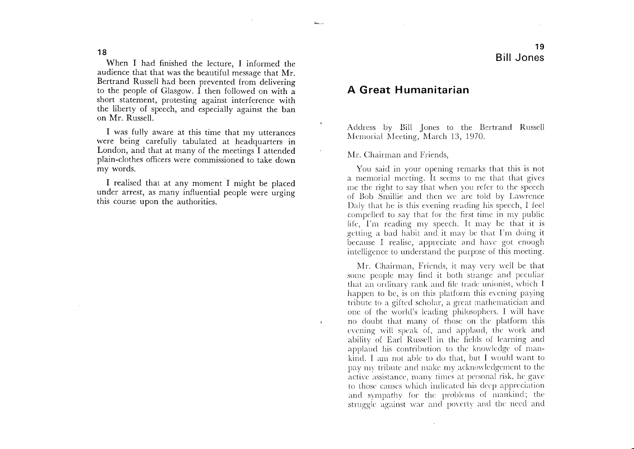When I had finished the lecture. I informed the audience that that was the beautiful message that Mr. Bertrand Russell had been prevented from delivering to the people of Glasgow. I then followed on with  $\tilde{a}$ short statement, protesting against interference with the liberty of speech, and especially against the ban on Mr. Russell.

I was fully aware at this time that my utterances were being carefully tabulated at headquarters in London, and that at many of the meetings I attended plain-clothes officers were commissioned to take down my words.

I realised that at any moment I might be placed under arrest, as many influential people were urging this course upon the authorities.

#### 19 **Bill Jones**

#### **A Great Humanitarian**

Address by Bill Jones to the Bertrand Russell Memorial Meeting, March 13, 1970.

#### Mr. Chairman and Friends.

 $\mathbf{A}$ 

 $\ddot{\textbf{1}}$ 

You said in your opening remarks that this is not a memorial meeting. It seems to me that that gives me the right to say that when you refer to the speech of Bob Smillie and then we are told by Lawrence Daly that he is this evening reading his speech, I feel compelled to say that for the first time in my public life, I'm reading my speech. It may be that it is getting a bad habit and it may be that I'm doing it because I realise, appreciate and have got enough intelligence to understand the purpose of this meeting.

Mr. Chairman, Friends, it may very well be that some people may find it both strange and peculiar that an ordinary rank and file trade unionist, which I happen to be, is on this platform this evening paying tribute to a gifted scholar, a great mathematician and one of the world's leading philosophers. I will have no doubt that many of those on the platform this evening will speak of, and applaud, the work and ability of Earl Russell in the fields of learning and applaud his contribution to the knowledge of mankind, I am not able to do that, but I would want to pay my tribute and make my acknowledgement to the active assistance, many times at personal risk, he gave to those causes which indicated his deep appreciation and sympathy for the problems of mankind; the struggle against war and poverty and the need and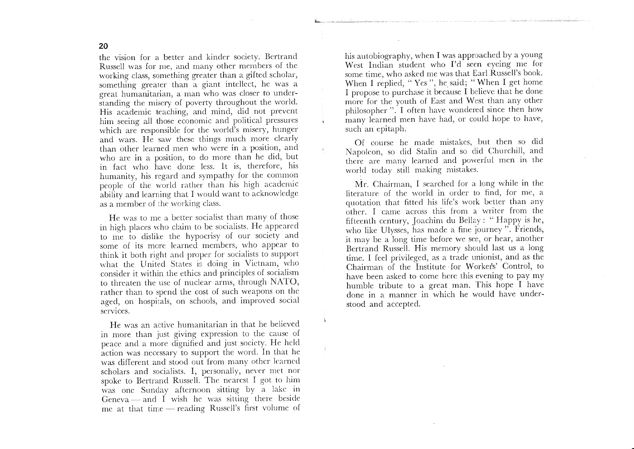the vision for a better and kinder society. Bertrand Russell was for me, and many other members of the working class, something greater than a gifted scholar, something greater than a giant intellect, he was a great humanitarian, a man who was closer to understanding the misery of poverty throughout the world. His academic teaching, and mind, did not prevent him seeing all those economic and political pressures which are responsible for the world's misery, hunger and wars. He saw these things much more clearly than other learned men who were in a position, and who are in a position, to do more than he did, but in fact who have done less. It is, therefore, his humanity, his regard and sympathy for the common people of the world rather than his high academic ability and learning that I would want to acknowledge as a member of the working class.

He was to me a better socialist than many of those in high places who claim to be socialists. He appeared to me to dislike the hypocrisy of our society and some of its more learned members, who appear to think it both right and proper for socialists to support what the United States is doing in Vietnam, who consider it within the ethics and principles of socialism to threaten the use of nuclear arms, through NATO, rather than to spend the cost of such weapons on the aged, on hospitals, on schools, and improved social services.

He was an active humanitarian in that he believed in more than just giving expression to the cause of peace and a more dignified and just society. He held action was necessary to support the word. In that he was different and stood out from many other learned scholars and socialists. I, personally, never met nor spoke to Bertrand Russell. The nearest I got to him was one Sunday afternoon sitting by a lake in Geneva - and I wish he was sitting there beside me at that time - reading Russell's first volume of his autobiography, when I was approached by a young West Indian student who I'd seen eyeing me for some time, who asked me was that Earl Russell's book. When I replied, "Yes", he said; "When I get home I propose to purchase it because I believe that he done more for the youth of East and West than any other philosopher". I often have wondered since then how many learned men have had, or could hope to have, such an epitaph.

Of course he made mistakes, but then so did Napoleon, so did Stalin and so did Churchill, and there are many learned and powerful men in the world today still making mistakes.

Mr. Chairman, I searched for a long while in the literature of the world in order to find, for me, a quotation that fitted his life's work better than any other. I came across this from a writer from the fifteenth century, Joachim du Bellay: "Happy is he, who like Ulysses, has made a fine journey". Friends, it may be a long time before we see, or hear, another Bertrand Russell. His memory should last us a long time. I feel privileged, as a trade unionist, and as the Chairman of the Institute for Workers' Control, to have been asked to come here this evening to pay my humble tribute to a great man. This hope I have done in a manner in which he would have understood and accepted.